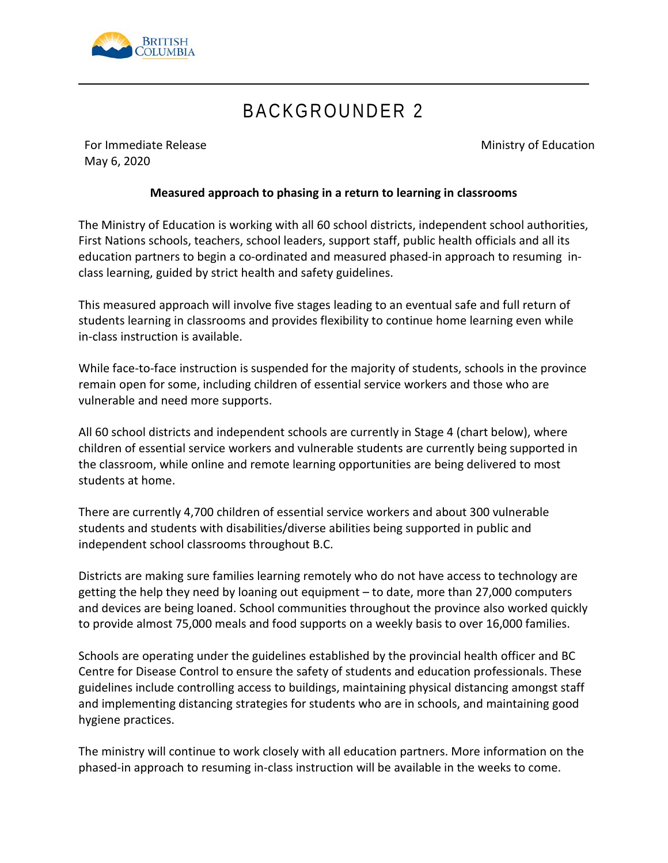

# BACKGROUNDER 2

For Immediate Release May 6, 2020

Ministry of Education

### **Measured approach to phasing in a return to learning in classrooms**

The Ministry of Education is working with all 60 school districts, independent school authorities, First Nations schools, teachers, school leaders, support staff, public health officials and all its education partners to begin a co-ordinated and measured phased-in approach to resuming inclass learning, guided by strict health and safety guidelines.

This measured approach will involve five stages leading to an eventual safe and full return of students learning in classrooms and provides flexibility to continue home learning even while in-class instruction is available.

While face-to-face instruction is suspended for the majority of students, schools in the province remain open for some, including children of essential service workers and those who are vulnerable and need more supports.

All 60 school districts and independent schools are currently in Stage 4 (chart below), where children of essential service workers and vulnerable students are currently being supported in the classroom, while online and remote learning opportunities are being delivered to most students at home.

There are currently 4,700 children of essential service workers and about 300 vulnerable students and students with disabilities/diverse abilities being supported in public and independent school classrooms throughout B.C.

Districts are making sure families learning remotely who do not have access to technology are getting the help they need by loaning out equipment – to date, more than 27,000 computers and devices are being loaned. School communities throughout the province also worked quickly to provide almost 75,000 meals and food supports on a weekly basis to over 16,000 families.

Schools are operating under the guidelines established by the provincial health officer and BC Centre for Disease Control to ensure the safety of students and education professionals. These guidelines include controlling access to buildings, maintaining physical distancing amongst staff and implementing distancing strategies for students who are in schools, and maintaining good hygiene practices.

The ministry will continue to work closely with all education partners. More information on the phased-in approach to resuming in-class instruction will be available in the weeks to come.